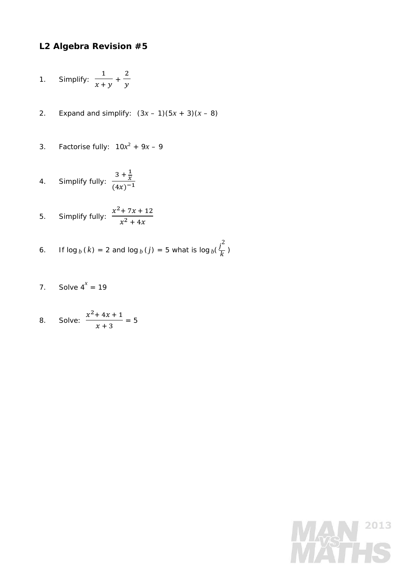## **L2 Algebra Revision #5**

1. Simplify: 
$$
\frac{1}{x+y} + \frac{2}{y}
$$

2. Expand and simplify:  $(3x - 1)(5x + 3)(x - 8)$ 

3. Factorise fully: 
$$
10x^2 + 9x - 9
$$

4. Simplify fully: 
$$
\frac{3 + \frac{1}{x}}{(4x)^{-1}}
$$

5. Simplify fully: 
$$
\frac{x^2 + 7x + 12}{x^2 + 4x}
$$

6. If 
$$
\log_b(k) = 2
$$
 and  $\log_b(j) = 5$  what is  $\log_b(\frac{j^2}{k})$ 

7. Solve  $4^x = 19$ 

8. Solve: 
$$
\frac{x^2 + 4x + 1}{x + 3} = 5
$$